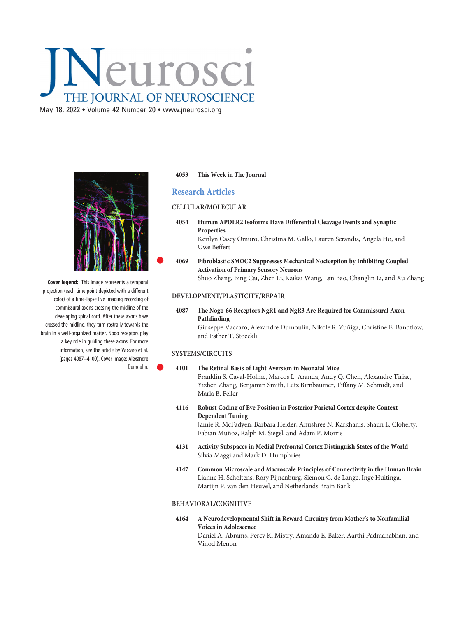# Neurosci THE JOURNAL OF NEUROSCIENCE

May 18, 2022 • Volume 42 Number 20 • [www.jneurosci.org](https://www.jneurosci.org)



Cover legend: This image represents a temporal projection (each time point depicted with a different color) of a time-lapse live imaging recording of commissural axons crossing the midline of the developing spinal cord. After these axons have crossed the midline, they turn rostrally towards the brain in a well-organized matter. Nogo receptors play a key role in guiding these axons. For more information, see the article by Vaccaro et al. (pages 4087–4100). Cover image: Alexandre Dumoulin.

#### 4053 This Week in The Journal

# Research Articles

## CELLULAR/MOLECULAR

4054 Human APOER2 Isoforms Have Differential Cleavage Events and Synaptic Properties Kerilyn Casey Omuro, Christina M. Gallo, Lauren Scrandis, Angela Ho, and Uwe Beffert

#### <sup>4069</sup> Fibroblastic SMOC2 Suppresses Mechanical Nociception by Inhibiting Coupled Activation of Primary Sensory Neurons Shuo Zhang, Bing Cai, Zhen Li, Kaikai Wang, Lan Bao, Changlin Li, and Xu Zhang

## DEVELOPMENT/PLASTICITY/REPAIR

# 4087 The Nogo-66 Receptors NgR1 and NgR3 Are Required for Commissural Axon Pathfinding

Giuseppe Vaccaro, Alexandre Dumoulin, Nikole R. Zuñiga, Christine E. Bandtlow, and Esther T. Stoeckli

#### SYSTEMS/CIRCUITS

#### <sup>4101</sup> The Retinal Basis of Light Aversion in Neonatal Mice Franklin S. Caval-Holme, Marcos L. Aranda, Andy Q. Chen, Alexandre Tiriac, Yizhen Zhang, Benjamin Smith, Lutz Birnbaumer, Tiffany M. Schmidt, and Marla B. Feller

4116 Robust Coding of Eye Position in Posterior Parietal Cortex despite Context-Dependent Tuning

Jamie R. McFadyen, Barbara Heider, Anushree N. Karkhanis, Shaun L. Cloherty, Fabian Muñoz, Ralph M. Siegel, and Adam P. Morris

- 4131 Activity Subspaces in Medial Prefrontal Cortex Distinguish States of the World Silvia Maggi and Mark D. Humphries
- 4147 Common Microscale and Macroscale Principles of Connectivity in the Human Brain Lianne H. Scholtens, Rory Pijnenburg, Siemon C. de Lange, Inge Huitinga, Martijn P. van den Heuvel, and Netherlands Brain Bank

## BEHAVIORAL/COGNITIVE

4164 A Neurodevelopmental Shift in Reward Circuitry from Mother's to Nonfamilial Voices in Adolescence Daniel A. Abrams, Percy K. Mistry, Amanda E. Baker, Aarthi Padmanabhan, and Vinod Menon